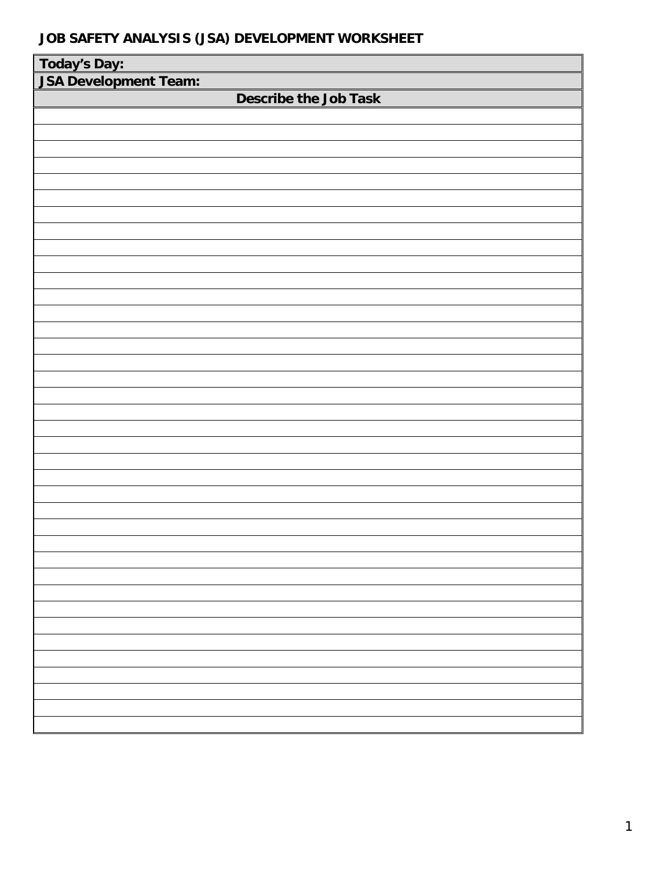| Today's Day:                 |
|------------------------------|
| <b>JSA Development Team:</b> |
| <b>Describe the Job Task</b> |
|                              |
|                              |
|                              |
|                              |
|                              |
|                              |
|                              |
|                              |
|                              |
|                              |
|                              |
|                              |
|                              |
|                              |
|                              |
|                              |
|                              |
|                              |
|                              |
|                              |
|                              |
|                              |
|                              |
|                              |
|                              |
|                              |
|                              |
|                              |
|                              |
|                              |
|                              |
|                              |
|                              |
|                              |
|                              |
|                              |
|                              |
|                              |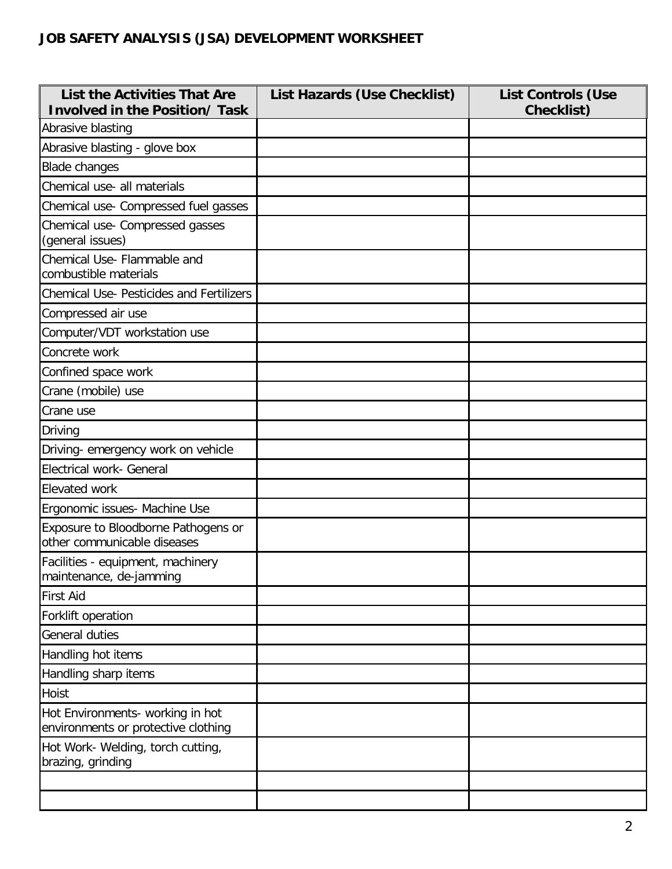| <b>List the Activities That Are</b><br><b>Involved in the Position/ Task</b> | List Hazards (Use Checklist) | <b>List Controls (Use</b><br><b>Checklist)</b> |
|------------------------------------------------------------------------------|------------------------------|------------------------------------------------|
| Abrasive blasting                                                            |                              |                                                |
| Abrasive blasting - glove box                                                |                              |                                                |
| <b>Blade changes</b>                                                         |                              |                                                |
| Chemical use- all materials                                                  |                              |                                                |
| Chemical use- Compressed fuel gasses                                         |                              |                                                |
| Chemical use- Compressed gasses<br>(general issues)                          |                              |                                                |
| Chemical Use- Flammable and<br>combustible materials                         |                              |                                                |
| <b>Chemical Use- Pesticides and Fertilizers</b>                              |                              |                                                |
| Compressed air use                                                           |                              |                                                |
| Computer/VDT workstation use                                                 |                              |                                                |
| Concrete work                                                                |                              |                                                |
| Confined space work                                                          |                              |                                                |
| Crane (mobile) use                                                           |                              |                                                |
| Crane use                                                                    |                              |                                                |
| Driving                                                                      |                              |                                                |
| Driving- emergency work on vehicle                                           |                              |                                                |
| Electrical work- General                                                     |                              |                                                |
| Elevated work                                                                |                              |                                                |
| Ergonomic issues- Machine Use                                                |                              |                                                |
| Exposure to Bloodborne Pathogens or<br>other communicable diseases           |                              |                                                |
| Facilities - equipment, machinery<br>maintenance, de-jamming                 |                              |                                                |
| <b>First Aid</b>                                                             |                              |                                                |
| Forklift operation                                                           |                              |                                                |
| General duties                                                               |                              |                                                |
| Handling hot items                                                           |                              |                                                |
| Handling sharp items                                                         |                              |                                                |
| Hoist                                                                        |                              |                                                |
| Hot Environments- working in hot<br>environments or protective clothing      |                              |                                                |
| Hot Work- Welding, torch cutting,<br>brazing, grinding                       |                              |                                                |
|                                                                              |                              |                                                |
|                                                                              |                              |                                                |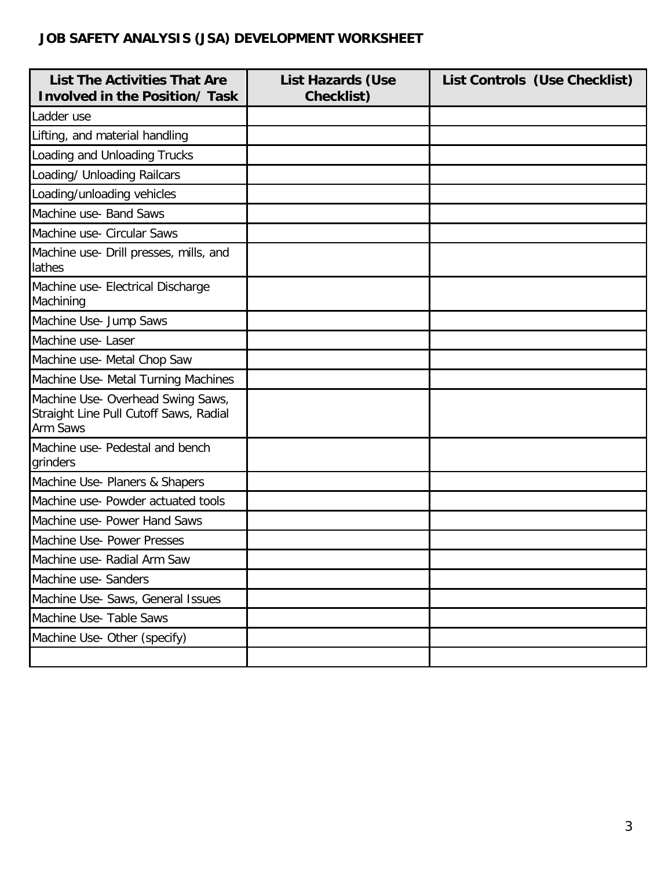| <b>List The Activities That Are</b><br><b>Involved in the Position/ Task</b>                   | <b>List Hazards (Use</b><br><b>Checklist)</b> | List Controls (Use Checklist) |
|------------------------------------------------------------------------------------------------|-----------------------------------------------|-------------------------------|
| Ladder use                                                                                     |                                               |                               |
| Lifting, and material handling                                                                 |                                               |                               |
| Loading and Unloading Trucks                                                                   |                                               |                               |
| Loading/ Unloading Railcars                                                                    |                                               |                               |
| Loading/unloading vehicles                                                                     |                                               |                               |
| Machine use- Band Saws                                                                         |                                               |                               |
| Machine use- Circular Saws                                                                     |                                               |                               |
| Machine use- Drill presses, mills, and<br>lathes                                               |                                               |                               |
| Machine use- Electrical Discharge<br>Machining                                                 |                                               |                               |
| Machine Use- Jump Saws                                                                         |                                               |                               |
| Machine use-Laser                                                                              |                                               |                               |
| Machine use- Metal Chop Saw                                                                    |                                               |                               |
| Machine Use- Metal Turning Machines                                                            |                                               |                               |
| Machine Use- Overhead Swing Saws,<br>Straight Line Pull Cutoff Saws, Radial<br><b>Arm Saws</b> |                                               |                               |
| Machine use- Pedestal and bench<br>grinders                                                    |                                               |                               |
| Machine Use- Planers & Shapers                                                                 |                                               |                               |
| Machine use- Powder actuated tools                                                             |                                               |                               |
| Machine use- Power Hand Saws                                                                   |                                               |                               |
| Machine Use- Power Presses                                                                     |                                               |                               |
| Machine use- Radial Arm Saw                                                                    |                                               |                               |
| Machine use- Sanders                                                                           |                                               |                               |
| Machine Use- Saws, General Issues                                                              |                                               |                               |
| Machine Use- Table Saws                                                                        |                                               |                               |
| Machine Use- Other (specify)                                                                   |                                               |                               |
|                                                                                                |                                               |                               |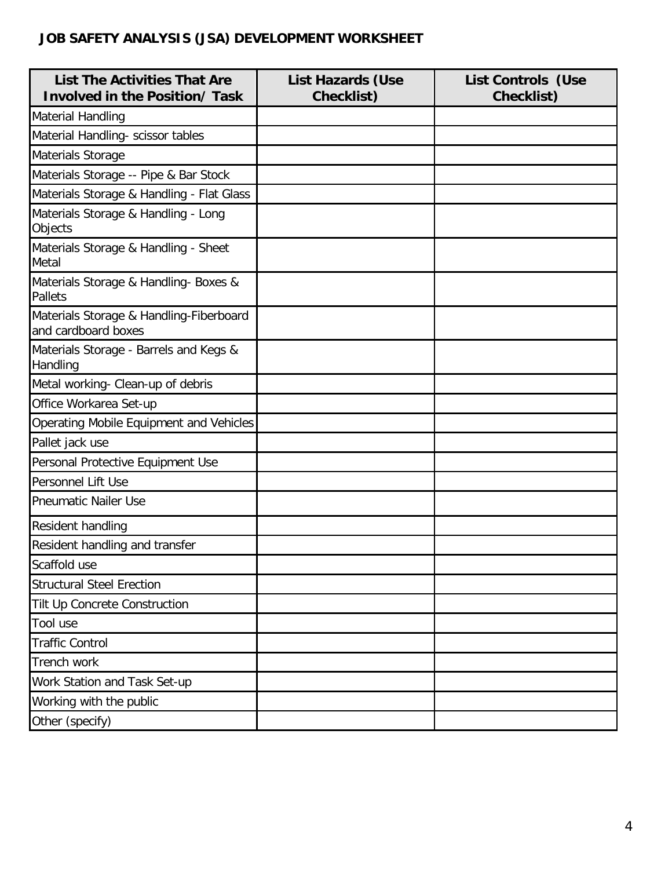| <b>List The Activities That Are</b><br><b>Involved in the Position/ Task</b> | <b>List Hazards (Use</b><br><b>Checklist)</b> | <b>List Controls (Use</b><br>Checklist) |
|------------------------------------------------------------------------------|-----------------------------------------------|-----------------------------------------|
| <b>Material Handling</b>                                                     |                                               |                                         |
| Material Handling- scissor tables                                            |                                               |                                         |
| Materials Storage                                                            |                                               |                                         |
| Materials Storage -- Pipe & Bar Stock                                        |                                               |                                         |
| Materials Storage & Handling - Flat Glass                                    |                                               |                                         |
| Materials Storage & Handling - Long<br>Objects                               |                                               |                                         |
| Materials Storage & Handling - Sheet<br>Metal                                |                                               |                                         |
| Materials Storage & Handling- Boxes &<br><b>Pallets</b>                      |                                               |                                         |
| Materials Storage & Handling-Fiberboard<br>and cardboard boxes               |                                               |                                         |
| Materials Storage - Barrels and Kegs &<br>Handling                           |                                               |                                         |
| Metal working- Clean-up of debris                                            |                                               |                                         |
| Office Workarea Set-up                                                       |                                               |                                         |
| Operating Mobile Equipment and Vehicles                                      |                                               |                                         |
| Pallet jack use                                                              |                                               |                                         |
| Personal Protective Equipment Use                                            |                                               |                                         |
| <b>Personnel Lift Use</b>                                                    |                                               |                                         |
| <b>Pneumatic Nailer Use</b>                                                  |                                               |                                         |
| Resident handling                                                            |                                               |                                         |
| Resident handling and transfer                                               |                                               |                                         |
| Scaffold use                                                                 |                                               |                                         |
| <b>Structural Steel Erection</b>                                             |                                               |                                         |
| Tilt Up Concrete Construction                                                |                                               |                                         |
| Tool use                                                                     |                                               |                                         |
| <b>Traffic Control</b>                                                       |                                               |                                         |
| Trench work                                                                  |                                               |                                         |
| Work Station and Task Set-up                                                 |                                               |                                         |
| Working with the public                                                      |                                               |                                         |
| Other (specify)                                                              |                                               |                                         |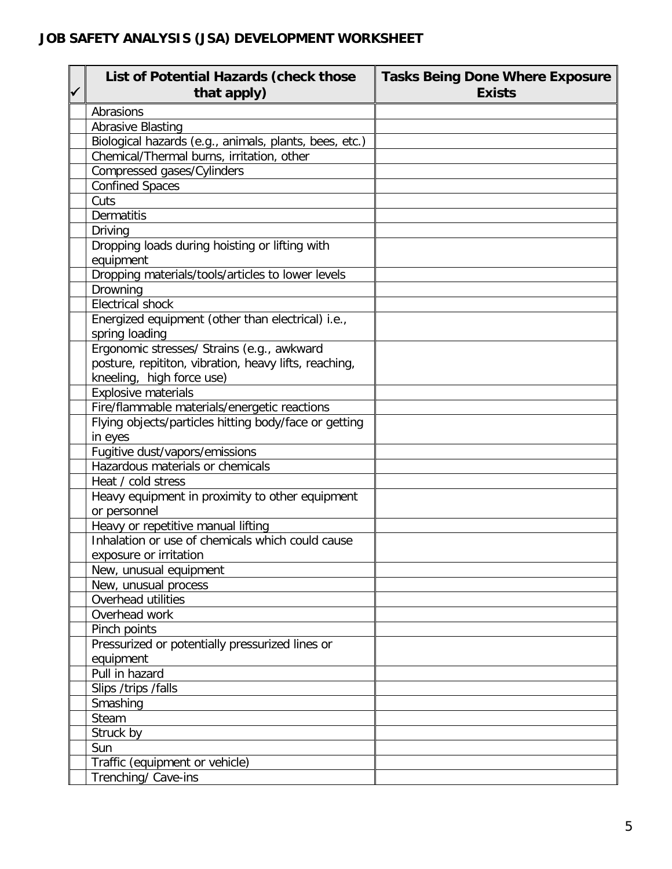| ✓ | List of Potential Hazards (check those<br>that apply)                                                                            | <b>Tasks Being Done Where Exposure</b><br><b>Exists</b> |
|---|----------------------------------------------------------------------------------------------------------------------------------|---------------------------------------------------------|
|   | Abrasions                                                                                                                        |                                                         |
|   | <b>Abrasive Blasting</b>                                                                                                         |                                                         |
|   | Biological hazards (e.g., animals, plants, bees, etc.)                                                                           |                                                         |
|   | Chemical/Thermal burns, irritation, other                                                                                        |                                                         |
|   | Compressed gases/Cylinders                                                                                                       |                                                         |
|   | <b>Confined Spaces</b>                                                                                                           |                                                         |
|   | Cuts                                                                                                                             |                                                         |
|   | <b>Dermatitis</b>                                                                                                                |                                                         |
|   | Driving                                                                                                                          |                                                         |
|   | Dropping loads during hoisting or lifting with<br>equipment                                                                      |                                                         |
|   | Dropping materials/tools/articles to lower levels                                                                                |                                                         |
|   | Drowning                                                                                                                         |                                                         |
|   | <b>Electrical shock</b>                                                                                                          |                                                         |
|   | Energized equipment (other than electrical) i.e.,<br>spring loading                                                              |                                                         |
|   | Ergonomic stresses/ Strains (e.g., awkward<br>posture, repititon, vibration, heavy lifts, reaching,<br>kneeling, high force use) |                                                         |
|   | Explosive materials                                                                                                              |                                                         |
|   | Fire/flammable materials/energetic reactions                                                                                     |                                                         |
|   | Flying objects/particles hitting body/face or getting                                                                            |                                                         |
|   | in eyes                                                                                                                          |                                                         |
|   | Fugitive dust/vapors/emissions                                                                                                   |                                                         |
|   | Hazardous materials or chemicals                                                                                                 |                                                         |
|   | Heat / cold stress                                                                                                               |                                                         |
|   | Heavy equipment in proximity to other equipment<br>or personnel                                                                  |                                                         |
|   | Heavy or repetitive manual lifting                                                                                               |                                                         |
|   | Inhalation or use of chemicals which could cause                                                                                 |                                                         |
|   | exposure or irritation                                                                                                           |                                                         |
|   | New, unusual equipment                                                                                                           |                                                         |
|   | New, unusual process                                                                                                             |                                                         |
|   | Overhead utilities                                                                                                               |                                                         |
|   | Overhead work                                                                                                                    |                                                         |
|   | Pinch points                                                                                                                     |                                                         |
|   | Pressurized or potentially pressurized lines or                                                                                  |                                                         |
|   | equipment                                                                                                                        |                                                         |
|   | Pull in hazard                                                                                                                   |                                                         |
|   | Slips /trips /falls                                                                                                              |                                                         |
|   | Smashing                                                                                                                         |                                                         |
|   | Steam                                                                                                                            |                                                         |
|   | Struck by                                                                                                                        |                                                         |
|   | Sun                                                                                                                              |                                                         |
|   | Traffic (equipment or vehicle)                                                                                                   |                                                         |
|   | Trenching/ Cave-ins                                                                                                              |                                                         |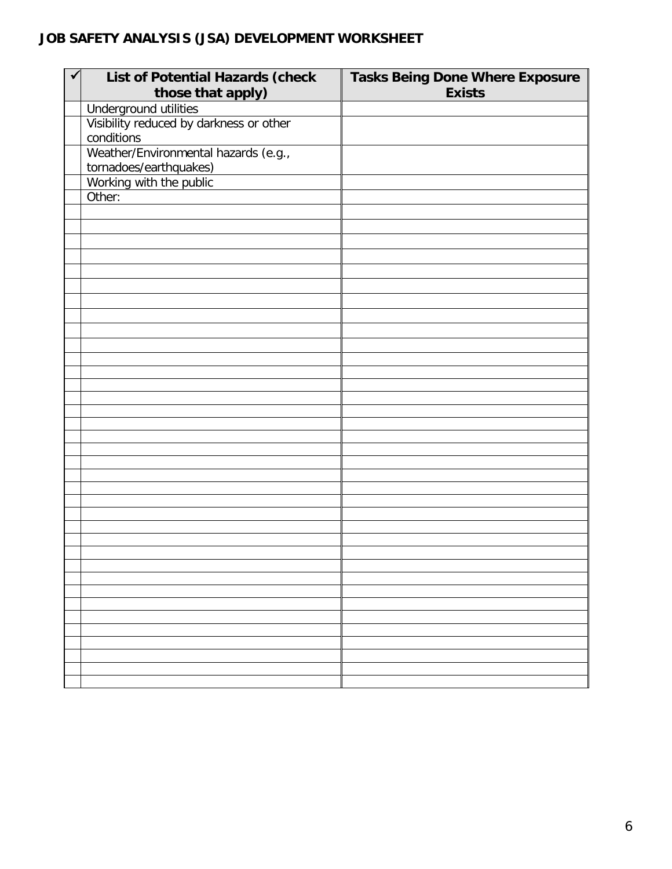| List of Potential Hazards (check<br>those that apply) | <b>Tasks Being Done Where Exposure</b><br><b>Exists</b> |
|-------------------------------------------------------|---------------------------------------------------------|
| Underground utilities                                 |                                                         |
| Visibility reduced by darkness or other               |                                                         |
| conditions                                            |                                                         |
| Weather/Environmental hazards (e.g.,                  |                                                         |
|                                                       |                                                         |
| tornadoes/earthquakes)                                |                                                         |
| Working with the public                               |                                                         |
| Other:                                                |                                                         |
|                                                       |                                                         |
|                                                       |                                                         |
|                                                       |                                                         |
|                                                       |                                                         |
|                                                       |                                                         |
|                                                       |                                                         |
|                                                       |                                                         |
|                                                       |                                                         |
|                                                       |                                                         |
|                                                       |                                                         |
|                                                       |                                                         |
|                                                       |                                                         |
|                                                       |                                                         |
|                                                       |                                                         |
|                                                       |                                                         |
|                                                       |                                                         |
|                                                       |                                                         |
|                                                       |                                                         |
|                                                       |                                                         |
|                                                       |                                                         |
|                                                       |                                                         |
|                                                       |                                                         |
|                                                       |                                                         |
|                                                       |                                                         |
|                                                       |                                                         |
|                                                       |                                                         |
|                                                       |                                                         |
|                                                       |                                                         |
|                                                       |                                                         |
|                                                       |                                                         |
|                                                       |                                                         |
|                                                       |                                                         |
|                                                       |                                                         |
|                                                       |                                                         |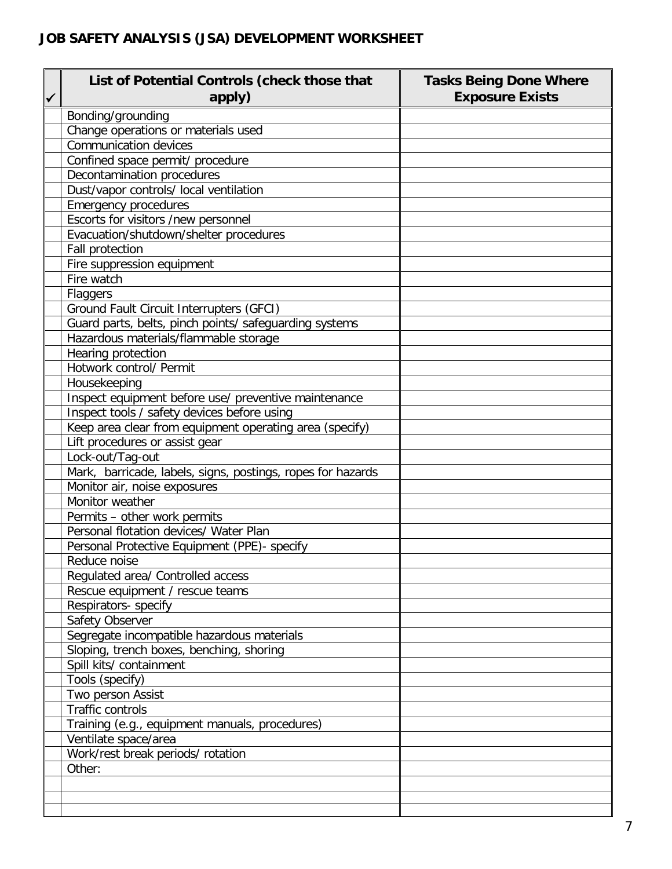| List of Potential Controls (check those that<br>apply)      | <b>Tasks Being Done Where</b><br><b>Exposure Exists</b> |
|-------------------------------------------------------------|---------------------------------------------------------|
| Bonding/grounding                                           |                                                         |
| Change operations or materials used                         |                                                         |
| <b>Communication devices</b>                                |                                                         |
| Confined space permit/ procedure                            |                                                         |
| Decontamination procedures                                  |                                                         |
| Dust/vapor controls/ local ventilation                      |                                                         |
| <b>Emergency procedures</b>                                 |                                                         |
| Escorts for visitors /new personnel                         |                                                         |
| Evacuation/shutdown/shelter procedures                      |                                                         |
| Fall protection                                             |                                                         |
| Fire suppression equipment                                  |                                                         |
| Fire watch                                                  |                                                         |
| Flaggers                                                    |                                                         |
| Ground Fault Circuit Interrupters (GFCI)                    |                                                         |
| Guard parts, belts, pinch points/ safeguarding systems      |                                                         |
| Hazardous materials/flammable storage                       |                                                         |
| Hearing protection                                          |                                                         |
| Hotwork control/ Permit                                     |                                                         |
| Housekeeping                                                |                                                         |
| Inspect equipment before use/ preventive maintenance        |                                                         |
| Inspect tools / safety devices before using                 |                                                         |
| Keep area clear from equipment operating area (specify)     |                                                         |
| Lift procedures or assist gear                              |                                                         |
| Lock-out/Tag-out                                            |                                                         |
| Mark, barricade, labels, signs, postings, ropes for hazards |                                                         |
| Monitor air, noise exposures                                |                                                         |
| Monitor weather                                             |                                                         |
| Permits - other work permits                                |                                                         |
| Personal flotation devices/ Water Plan                      |                                                         |
| Personal Protective Equipment (PPE)- specify                |                                                         |
| Reduce noise                                                |                                                         |
| Regulated area/ Controlled access                           |                                                         |
| Rescue equipment / rescue teams                             |                                                         |
| Respirators- specify                                        |                                                         |
| Safety Observer                                             |                                                         |
| Segregate incompatible hazardous materials                  |                                                         |
| Sloping, trench boxes, benching, shoring                    |                                                         |
| Spill kits/ containment                                     |                                                         |
| Tools (specify)                                             |                                                         |
| Two person Assist                                           |                                                         |
| <b>Traffic controls</b>                                     |                                                         |
| Training (e.g., equipment manuals, procedures)              |                                                         |
| Ventilate space/area                                        |                                                         |
| Work/rest break periods/ rotation                           |                                                         |
| Other:                                                      |                                                         |
|                                                             |                                                         |
|                                                             |                                                         |
|                                                             |                                                         |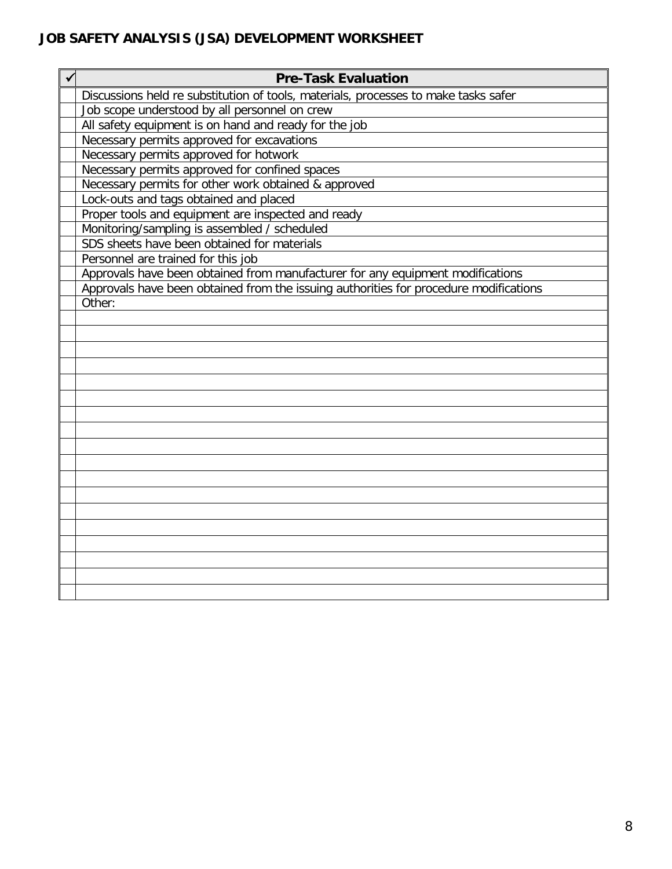| <b>Pre-Task Evaluation</b>                                                            |  |
|---------------------------------------------------------------------------------------|--|
| Discussions held re substitution of tools, materials, processes to make tasks safer   |  |
| Job scope understood by all personnel on crew                                         |  |
| All safety equipment is on hand and ready for the job                                 |  |
| Necessary permits approved for excavations                                            |  |
| Necessary permits approved for hotwork                                                |  |
| Necessary permits approved for confined spaces                                        |  |
| Necessary permits for other work obtained & approved                                  |  |
| Lock-outs and tags obtained and placed                                                |  |
| Proper tools and equipment are inspected and ready                                    |  |
| Monitoring/sampling is assembled / scheduled                                          |  |
| SDS sheets have been obtained for materials                                           |  |
| Personnel are trained for this job                                                    |  |
| Approvals have been obtained from manufacturer for any equipment modifications        |  |
| Approvals have been obtained from the issuing authorities for procedure modifications |  |
| Other:                                                                                |  |
|                                                                                       |  |
|                                                                                       |  |
|                                                                                       |  |
|                                                                                       |  |
|                                                                                       |  |
|                                                                                       |  |
|                                                                                       |  |
|                                                                                       |  |
|                                                                                       |  |
|                                                                                       |  |
|                                                                                       |  |
|                                                                                       |  |
|                                                                                       |  |
|                                                                                       |  |
|                                                                                       |  |
|                                                                                       |  |
|                                                                                       |  |
|                                                                                       |  |
|                                                                                       |  |